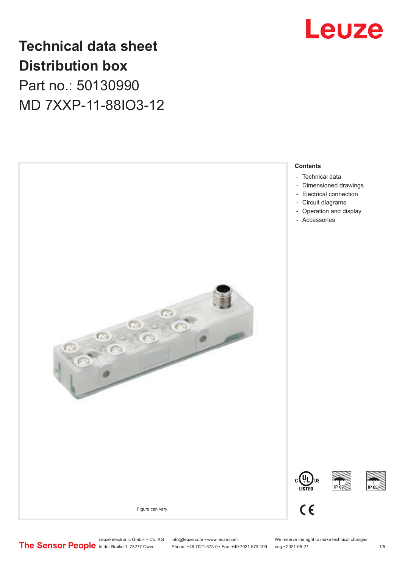

### **Technical data sheet Distribution box**

Part no.: 50130990 MD 7XXP-11-88IO3-12



Leuze electronic GmbH + Co. KG info@leuze.com • www.leuze.com We reserve the right to make technical changes<br>
The Sensor People in der Braike 1, 73277 Owen Phone: +49 7021 573-0 • Fax: +49 7021 573-199 eng • 2021-05-27 Phone: +49 7021 573-0 • Fax: +49 7021 573-199 eng • 2021-05-27 1 75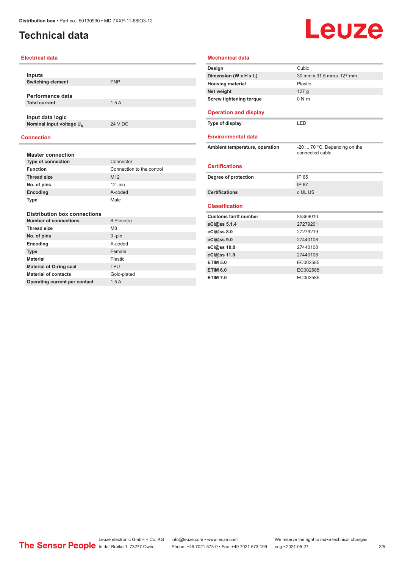### <span id="page-1-0"></span>**Technical data**

## Leuze

| <b>Electrical data</b>               |                           | <b>Mechanical data</b>         |                               |
|--------------------------------------|---------------------------|--------------------------------|-------------------------------|
|                                      |                           | Design                         | Cubic                         |
| <b>Inputs</b>                        |                           | Dimension (W x H x L)          | 30 mm x 31.5 mm x 127 mm      |
| <b>Switching element</b>             | <b>PNP</b>                | <b>Housing material</b>        | Plastic                       |
|                                      |                           | Net weight                     | 127 <sub>g</sub>              |
| Performance data                     |                           | <b>Screw tightening torque</b> | 0 N·m                         |
| <b>Total current</b>                 | 1.5A                      |                                |                               |
| Input data logic                     |                           | <b>Operation and display</b>   |                               |
| Nominal input voltage U <sub>N</sub> | 24 V DC                   | Type of display                | LED                           |
| <b>Connection</b>                    |                           | <b>Environmental data</b>      |                               |
|                                      |                           | Ambient temperature, operation | $-20$ 70 °C, Depending on the |
| <b>Master connection</b>             |                           |                                | connected cable               |
| <b>Type of connection</b>            | Connector                 |                                |                               |
| <b>Function</b>                      | Connection to the control | <b>Certifications</b>          |                               |
| <b>Thread size</b>                   | M12                       | Degree of protection           | IP 65                         |
| No. of pins                          | $12 - pin$                |                                | IP 67                         |
| Encoding                             | A-coded                   | <b>Certifications</b>          | c UL US                       |
| <b>Type</b>                          | Male                      |                                |                               |
|                                      |                           | <b>Classification</b>          |                               |
| <b>Distribution box connections</b>  |                           | <b>Customs tariff number</b>   | 85369010                      |
| <b>Number of connections</b>         | 8 Piece(s)                | eCl@ss 5.1.4                   | 27279201                      |
| <b>Thread size</b>                   | M <sub>8</sub>            | eCl@ss 8.0                     | 27279219                      |
| No. of pins                          | $3 - pin$                 | eCl@ss 9.0                     | 27440108                      |
| Encoding                             | A-coded                   | eCl@ss 10.0                    | 27440108                      |
| <b>Type</b>                          | Female                    | eCl@ss 11.0                    | 27440108                      |
| <b>Material</b>                      | Plastic                   | <b>ETIM 5.0</b>                | EC002585                      |
| <b>Material of O-ring seal</b>       | <b>TPU</b>                | <b>ETIM 6.0</b>                | EC002585                      |
| <b>Material of contacts</b>          | Gold-plated               | <b>ETIM 7.0</b>                | EC002585                      |
| Operating current per contact        | 1.5A                      |                                |                               |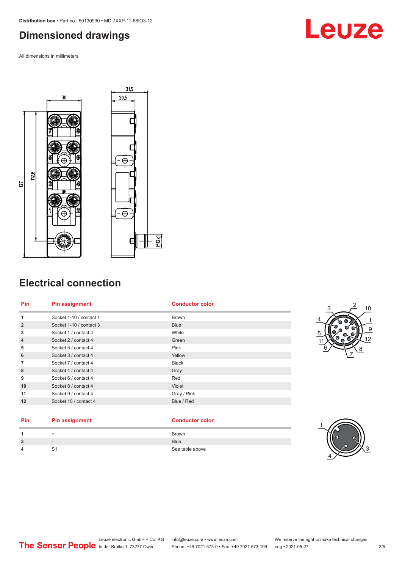### <span id="page-2-0"></span>**Dimensioned drawings**

All dimensions in millimeters





### **Electrical connection**

| <b>Brown</b> |
|--------------|
|              |
| <b>Blue</b>  |
| White        |
| Green        |
| Pink         |
| Yellow       |
| <b>Black</b> |
| Gray         |
| Red          |
| Violet       |
| Gray / Pink  |
| Blue / Red   |
|              |



### **Pin Pin assignment Conductor Conductor Color**

|        |        | <b>Brown</b>    |
|--------|--------|-----------------|
| ີ<br>ა | $\sim$ | <b>Blue</b>     |
| л      | . ت    | See table above |

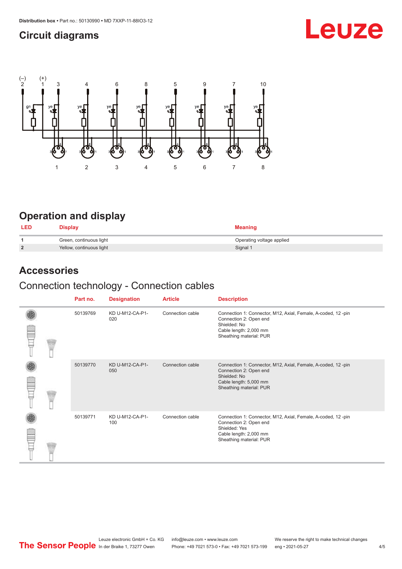### <span id="page-3-0"></span>**Circuit diagrams**

# Leuze



### **Operation and display**

| <b>LED</b>     | Display                  | <b>Meaning</b>            |
|----------------|--------------------------|---------------------------|
|                | Green, continuous light  | Operating voltage applied |
| $\overline{2}$ | Yellow, continuous light | Signal 1                  |

### **Accessories**

### Connection technology - Connection cables

|  | Part no. | <b>Designation</b>     | <b>Article</b>   | <b>Description</b>                                                                                                                                           |
|--|----------|------------------------|------------------|--------------------------------------------------------------------------------------------------------------------------------------------------------------|
|  | 50139769 | KD U-M12-CA-P1-<br>020 | Connection cable | Connection 1: Connector, M12, Axial, Female, A-coded, 12-pin<br>Connection 2: Open end<br>Shielded: No<br>Cable length: 2,000 mm<br>Sheathing material: PUR  |
|  | 50139770 | KD U-M12-CA-P1-<br>050 | Connection cable | Connection 1: Connector, M12, Axial, Female, A-coded, 12-pin<br>Connection 2: Open end<br>Shielded: No<br>Cable length: 5,000 mm<br>Sheathing material: PUR  |
|  | 50139771 | KD U-M12-CA-P1-<br>100 | Connection cable | Connection 1: Connector, M12, Axial, Female, A-coded, 12-pin<br>Connection 2: Open end<br>Shielded: Yes<br>Cable length: 2,000 mm<br>Sheathing material: PUR |